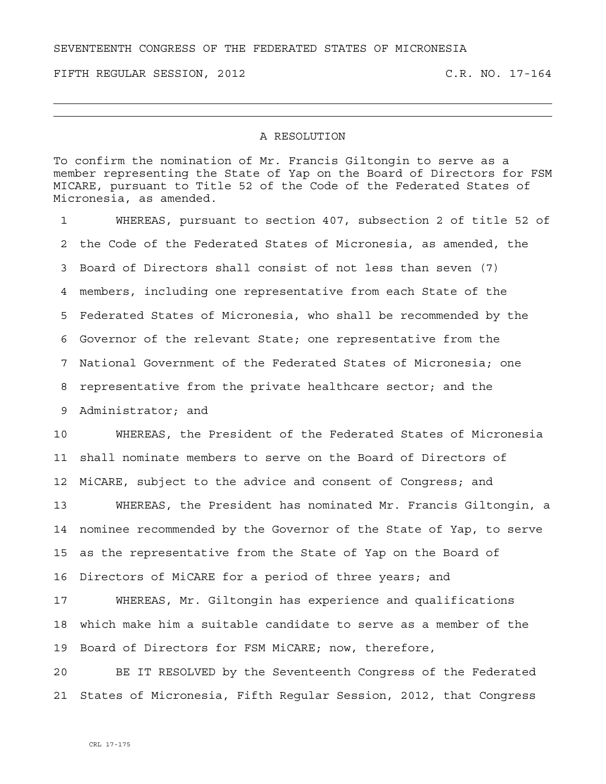SEVENTEENTH CONGRESS OF THE FEDERATED STATES OF MICRONESIA

FIFTH REGULAR SESSION, 2012 C.R. NO. 17-164

## A RESOLUTION

To confirm the nomination of Mr. Francis Giltongin to serve as a member representing the State of Yap on the Board of Directors for FSM MICARE, pursuant to Title 52 of the Code of the Federated States of Micronesia, as amended.

1 WHEREAS, pursuant to section 407, subsection 2 of title 52 of 2 the Code of the Federated States of Micronesia, as amended, the 3 Board of Directors shall consist of not less than seven (7) 4 members, including one representative from each State of the 5 Federated States of Micronesia, who shall be recommended by the 6 Governor of the relevant State; one representative from the 7 National Government of the Federated States of Micronesia; one 8 representative from the private healthcare sector; and the 9 Administrator; and

10 WHEREAS, the President of the Federated States of Micronesia 11 shall nominate members to serve on the Board of Directors of 12 MiCARE, subject to the advice and consent of Congress; and

13 WHEREAS, the President has nominated Mr. Francis Giltongin, a 14 nominee recommended by the Governor of the State of Yap, to serve 15 as the representative from the State of Yap on the Board of 16 Directors of MiCARE for a period of three years; and

17 WHEREAS, Mr. Giltongin has experience and qualifications 18 which make him a suitable candidate to serve as a member of the 19 Board of Directors for FSM MiCARE; now, therefore,

20 BE IT RESOLVED by the Seventeenth Congress of the Federated 21 States of Micronesia, Fifth Regular Session, 2012, that Congress